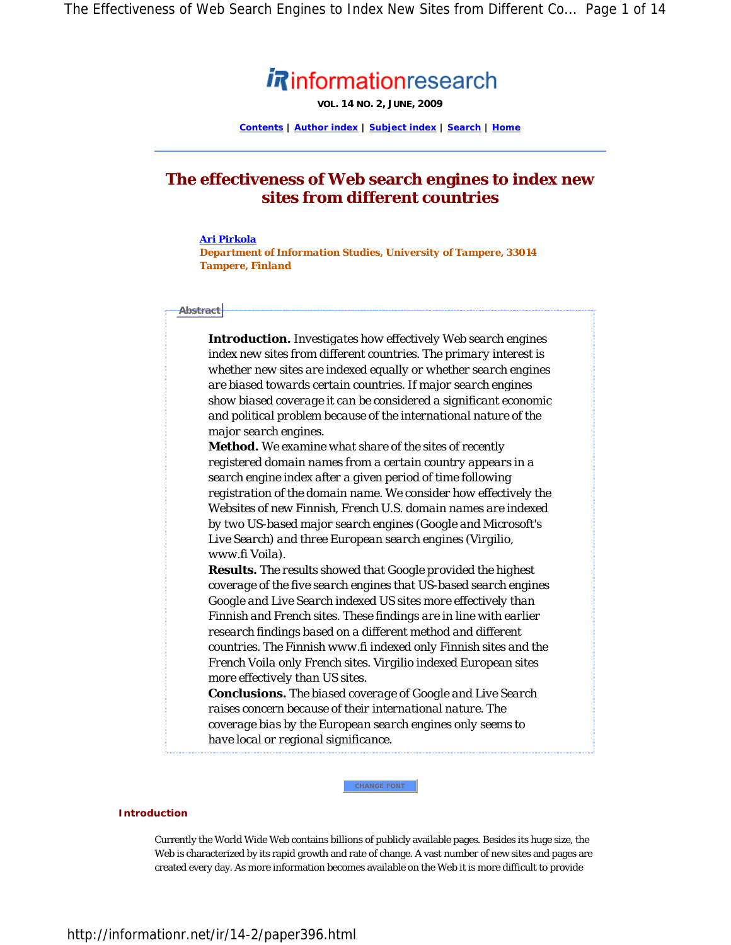# **Rinformationresearch**

**VOL. 14 NO. 2, JUNE, 2009**

**Contents | Author index | Subject index | Search | Home**

# **The effectiveness of Web search engines to index new sites from different countries**

#### *Ari Pirkola*

*Department of Information Studies, University of Tampere, 33014 Tampere, Finland* 

### **Abstract**

*Introduction. Investigates how effectively Web search engines index new sites from different countries. The primary interest is whether new sites are indexed equally or whether search engines are biased towards certain countries. If major search engines show biased coverage it can be considered a significant economic and political problem because of the international nature of the major search engines.* 

*Method. We examine what share of the sites of recently registered domain names from a certain country appears in a search engine index after a given period of time following registration of the domain name. We consider how effectively the Websites of new Finnish, French U.S. domain names are indexed by two US-based major search engines (Google and Microsoft's Live Search) and three European search engines (Virgilio, www.fi Voila).* 

*Results. The results showed that Google provided the highest coverage of the five search engines that US-based search engines Google and Live Search indexed US sites more effectively than Finnish and French sites. These findings are in line with earlier research findings based on a different method and different countries. The Finnish www.fi indexed only Finnish sites and the French Voila only French sites. Virgilio indexed European sites more effectively than US sites.* 

*Conclusions. The biased coverage of Google and Live Search raises concern because of their international nature. The coverage bias by the European search engines only seems to have local or regional significance.* 

**CHANGE FONT**

## **Introduction**

Currently the World Wide Web contains billions of publicly available pages. Besides its huge size, the Web is characterized by its rapid growth and rate of change. A vast number of new sites and pages are created every day. As more information becomes available on the Web it is more difficult to provide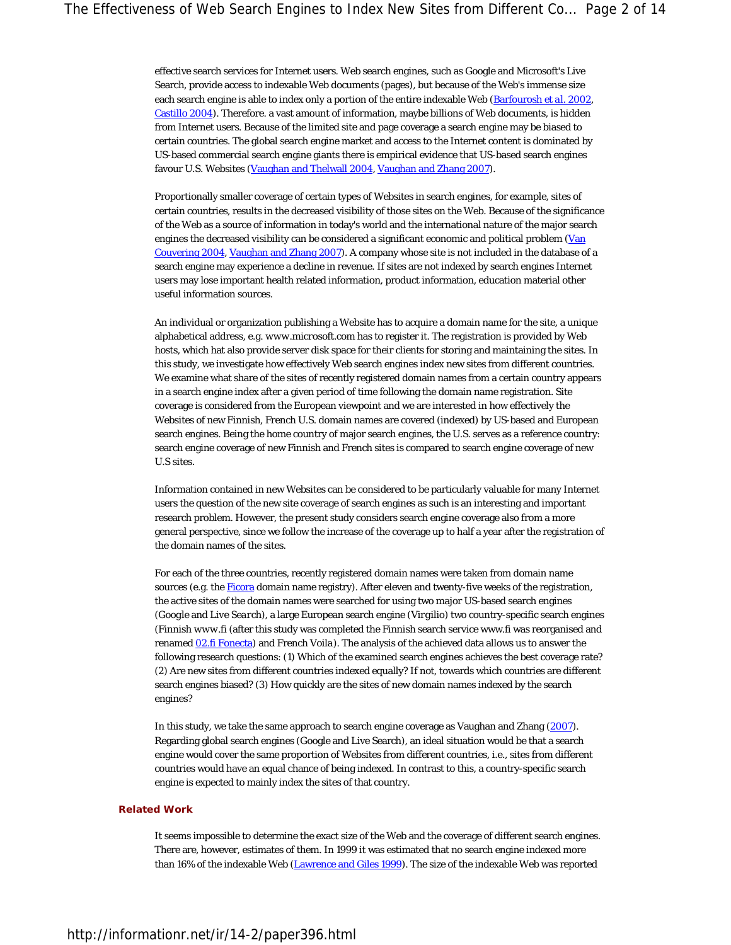effective search services for Internet users. Web search engines, such as Google and Microsoft's Live Search, provide access to indexable Web documents (pages), but because of the Web's immense size each search engine is able to index only a portion of the entire indexable Web (Barfourosh *et al.* 2002, Castillo 2004). Therefore. a vast amount of information, maybe billions of Web documents, is hidden from Internet users. Because of the limited site and page coverage a search engine may be biased to certain countries. The global search engine market and access to the Internet content is dominated by US-based commercial search engine giants there is empirical evidence that US-based search engines favour U.S. Websites (Vaughan and Thelwall 2004, Vaughan and Zhang 2007).

Proportionally smaller coverage of certain types of Websites in search engines, for example, sites of certain countries, results in the decreased visibility of those sites on the Web. Because of the significance of the Web as a source of information in today's world and the international nature of the major search engines the decreased visibility can be considered a significant economic and political problem (Van Couvering 2004, Vaughan and Zhang 2007). A company whose site is not included in the database of a search engine may experience a decline in revenue. If sites are not indexed by search engines Internet users may lose important health related information, product information, education material other useful information sources.

An individual or organization publishing a Website has to acquire a domain name for the site, a unique alphabetical address, e.g. *www.microsoft.com* has to register it. The registration is provided by Web hosts, which hat also provide server disk space for their clients for storing and maintaining the sites. In this study, we investigate how effectively Web search engines index new sites from different countries. We examine what share of the sites of recently registered domain names from a certain country appears in a search engine index after a given period of time following the domain name registration. Site coverage is considered from the European viewpoint and we are interested in how effectively the Websites of new Finnish, French U.S. domain names are covered (indexed) by US-based and European search engines. Being the home country of major search engines, the U.S. serves as a reference country: search engine coverage of new Finnish and French sites is compared to search engine coverage of new U.S sites.

Information contained in new Websites can be considered to be particularly valuable for many Internet users the question of the new site coverage of search engines as such is an interesting and important research problem. However, the present study considers search engine coverage also from a more general perspective, since we follow the increase of the coverage up to half a year after the registration of the domain names of the sites.

For each of the three countries, recently registered domain names were taken from domain name sources (e.g. the Ficora domain name registry). After eleven and twenty-five weeks of the registration, the active sites of the domain names were searched for using two major US-based search engines (*Google* and *Live Search*), a large European search engine (*Virgilio*) two country-specific search engines (Finnish *www.fi* (after this study was completed the Finnish search service www.fi was reorganised and renamed 02.fi Fonecta) and French *Voila*). The analysis of the achieved data allows us to answer the following research questions: (1) Which of the examined search engines achieves the best coverage rate? (2) Are new sites from different countries indexed equally? If not, towards which countries are different search engines biased? (3) How quickly are the sites of new domain names indexed by the search engines?

In this study, we take the same approach to search engine coverage as Vaughan and Zhang (2007). Regarding global search engines (Google and Live Search), an ideal situation would be that a search engine would cover the same proportion of Websites from different countries, i.e., sites from different countries would have an equal chance of being indexed. In contrast to this, a country-specific search engine is expected to mainly index the sites of that country.

#### **Related Work**

It seems impossible to determine the exact size of the Web and the coverage of different search engines. There are, however, estimates of them. In 1999 it was estimated that no search engine indexed more than 16% of the indexable Web (Lawrence and Giles 1999). The size of the indexable Web was reported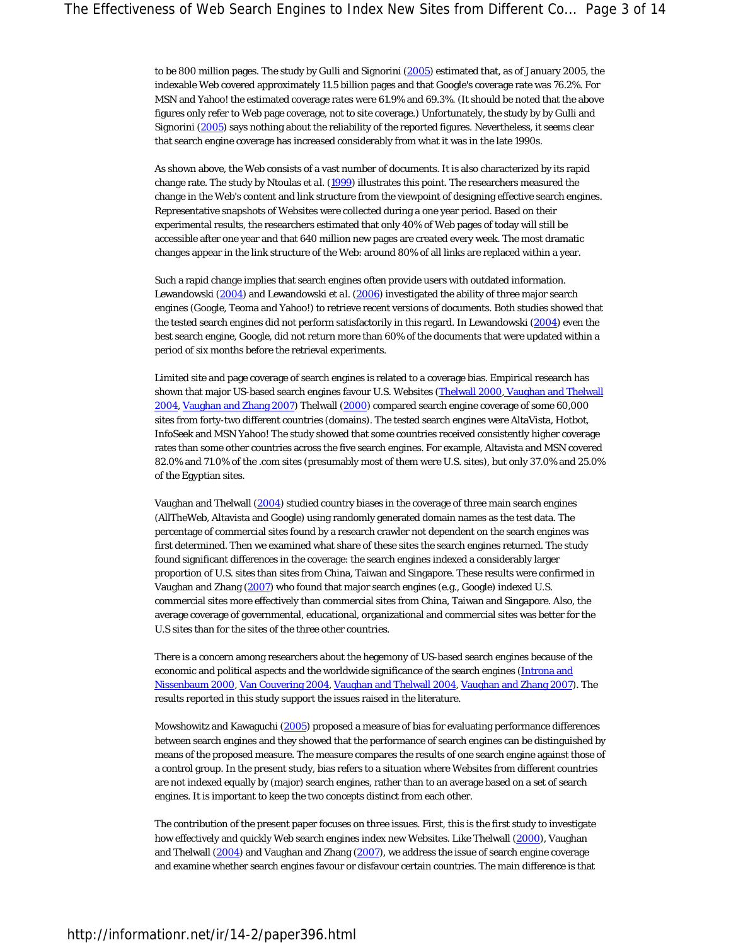to be 800 million pages. The study by Gulli and Signorini (2005) estimated that, as of January 2005, the indexable Web covered approximately 11.5 billion pages and that Google's coverage rate was 76.2%. For MSN and Yahoo! the estimated coverage rates were 61.9% and 69.3%. (It should be noted that the above figures only refer to Web page coverage, not to site coverage.) Unfortunately, the study by by Gulli and Signorini (2005) says nothing about the reliability of the reported figures. Nevertheless, it seems clear that search engine coverage has increased considerably from what it was in the late 1990s.

As shown above, the Web consists of a vast number of documents. It is also characterized by its rapid change rate. The study by Ntoulas *et al.* (1999) illustrates this point. The researchers measured the change in the Web's content and link structure from the viewpoint of designing effective search engines. Representative snapshots of Websites were collected during a one year period. Based on their experimental results, the researchers estimated that only 40% of Web pages of today will still be accessible after one year and that 640 million new pages are created every week. The most dramatic changes appear in the link structure of the Web: around 80% of all links are replaced within a year.

Such a rapid change implies that search engines often provide users with outdated information. Lewandowski (2004) and Lewandowski *et al.* (2006) investigated the ability of three major search engines (Google, Teoma and Yahoo!) to retrieve recent versions of documents. Both studies showed that the tested search engines did not perform satisfactorily in this regard. In Lewandowski (2004) even the best search engine, Google, did not return more than 60% of the documents that were updated within a period of six months before the retrieval experiments.

Limited site and page coverage of search engines is related to a coverage bias. Empirical research has shown that major US-based search engines favour U.S. Websites (Thelwall 2000, Vaughan and Thelwall 2004, Vaughan and Zhang 2007) Thelwall (2000) compared search engine coverage of some 60,000 sites from forty-two different countries (domains). The tested search engines were AltaVista, Hotbot, InfoSeek and MSN Yahoo! The study showed that some countries received consistently higher coverage rates than some other countries across the five search engines. For example, Altavista and MSN covered 82.0% and 71.0% of the .com sites (presumably most of them were U.S. sites), but only 37.0% and 25.0% of the Egyptian sites.

Vaughan and Thelwall (2004) studied country biases in the coverage of three main search engines (AllTheWeb, Altavista and Google) using randomly generated domain names as the test data. The percentage of commercial sites found by a research crawler not dependent on the search engines was first determined. Then we examined what share of these sites the search engines returned. The study found significant differences in the coverage: the search engines indexed a considerably larger proportion of U.S. sites than sites from China, Taiwan and Singapore. These results were confirmed in Vaughan and Zhang (2007) who found that major search engines (e.g., Google) indexed U.S. commercial sites more effectively than commercial sites from China, Taiwan and Singapore. Also, the average coverage of governmental, educational, organizational and commercial sites was better for the U.S sites than for the sites of the three other countries.

There is a concern among researchers about the hegemony of US-based search engines because of the economic and political aspects and the worldwide significance of the search engines (Introna and Nissenbaum 2000, Van Couvering 2004, Vaughan and Thelwall 2004, Vaughan and Zhang 2007). The results reported in this study support the issues raised in the literature.

Mowshowitz and Kawaguchi (2005) proposed a measure of bias for evaluating performance differences between search engines and they showed that the performance of search engines can be distinguished by means of the proposed measure. The measure compares the results of one search engine against those of a control group. In the present study, bias refers to a situation where Websites from different countries are not indexed equally by (major) search engines, rather than to an average based on a set of search engines. It is important to keep the two concepts distinct from each other.

The contribution of the present paper focuses on three issues. First, this is the first study to investigate how effectively and quickly Web search engines index new Websites. Like Thelwall (2000), Vaughan and Thelwall (2004) and Vaughan and Zhang (2007), we address the issue of search engine coverage and examine whether search engines favour or disfavour certain countries. The main difference is that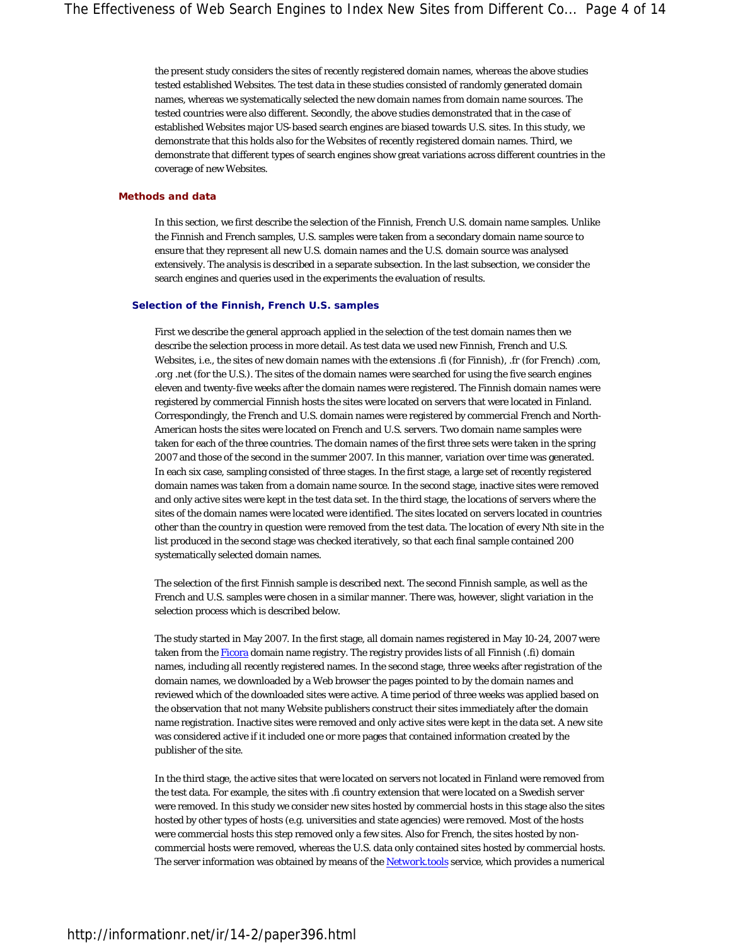the present study considers the sites of recently registered domain names, whereas the above studies tested established Websites. The test data in these studies consisted of randomly generated domain names, whereas we systematically selected the new domain names from domain name sources. The tested countries were also different. Secondly, the above studies demonstrated that in the case of established Websites major US-based search engines are biased towards U.S. sites. In this study, we demonstrate that this holds also for the Websites of recently registered domain names. Third, we demonstrate that different types of search engines show great variations across different countries in the coverage of new Websites.

#### **Methods and data**

In this section, we first describe the selection of the Finnish, French U.S. domain name samples. Unlike the Finnish and French samples, U.S. samples were taken from a secondary domain name source to ensure that they represent all new U.S. domain names and the U.S. domain source was analysed extensively. The analysis is described in a separate subsection. In the last subsection, we consider the search engines and queries used in the experiments the evaluation of results.

#### **Selection of the Finnish, French U.S. samples**

First we describe the general approach applied in the selection of the test domain names then we describe the selection process in more detail. As test data we used new Finnish, French and U.S. Websites, i.e., the sites of new domain names with the extensions *.fi* (for Finnish), *.fr* (for French) *.com*, *.org .net* (for the U.S.). The sites of the domain names were searched for using the five search engines eleven and twenty-five weeks after the domain names were registered. The Finnish domain names were registered by commercial Finnish hosts the sites were located on servers that were located in Finland. Correspondingly, the French and U.S. domain names were registered by commercial French and North-American hosts the sites were located on French and U.S. servers. Two domain name samples were taken for each of the three countries. The domain names of the first three sets were taken in the spring 2007 and those of the second in the summer 2007. In this manner, variation over time was generated. In each six case, sampling consisted of three stages. In the first stage, a large set of recently registered domain names was taken from a domain name source. In the second stage, inactive sites were removed and only active sites were kept in the test data set. In the third stage, the locations of servers where the sites of the domain names were located were identified. The sites located on servers located in countries other than the country in question were removed from the test data. The location of every Nth site in the list produced in the second stage was checked iteratively, so that each final sample contained 200 systematically selected domain names.

The selection of the first Finnish sample is described next. The second Finnish sample, as well as the French and U.S. samples were chosen in a similar manner. There was, however, slight variation in the selection process which is described below.

The study started in May 2007. In the first stage, all domain names registered in May 10-24, 2007 were taken from the Ficora domain name registry. The registry provides lists of all Finnish (.fi) domain names, including all recently registered names. In the second stage, three weeks after registration of the domain names, we downloaded by a Web browser the pages pointed to by the domain names and reviewed which of the downloaded sites were active. A time period of three weeks was applied based on the observation that not many Website publishers construct their sites immediately after the domain name registration. Inactive sites were removed and only active sites were kept in the data set. A new site was considered active if it included one or more pages that contained information created by the publisher of the site.

In the third stage, the active sites that were located on servers not located in Finland were removed from the test data. For example, the sites with .fi country extension that were located on a Swedish server were removed. In this study we consider new sites hosted by commercial hosts in this stage also the sites hosted by other types of hosts (e.g. universities and state agencies) were removed. Most of the hosts were commercial hosts this step removed only a few sites. Also for French, the sites hosted by noncommercial hosts were removed, whereas the U.S. data only contained sites hosted by commercial hosts. The server information was obtained by means of the *Network.tools* service, which provides a numerical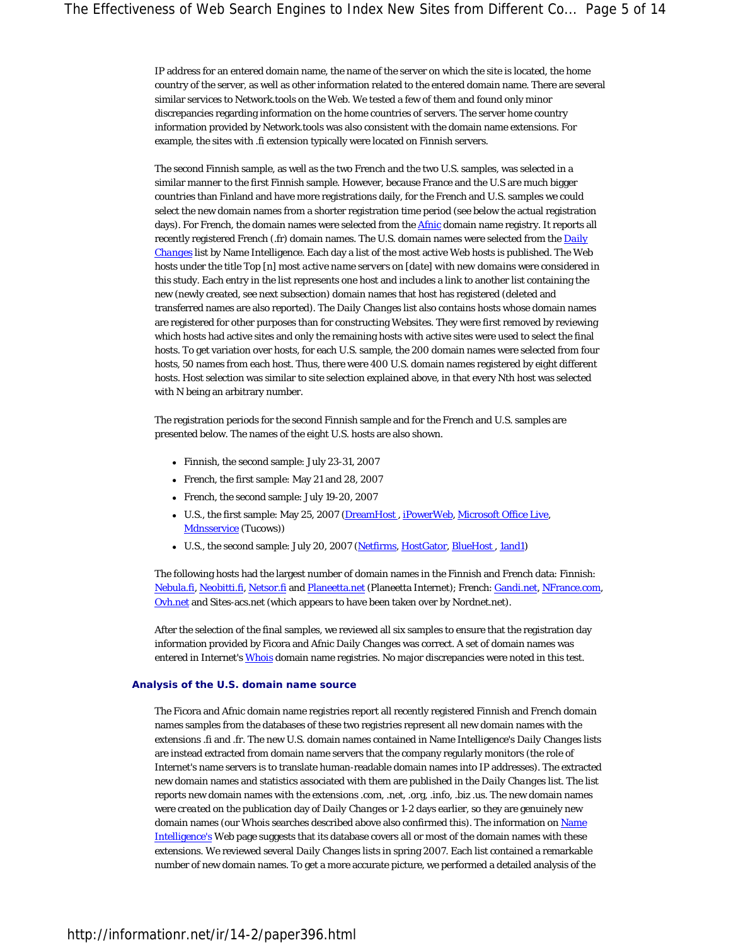IP address for an entered domain name, the name of the server on which the site is located, the home country of the server, as well as other information related to the entered domain name. There are several similar services to Network.tools on the Web. We tested a few of them and found only minor discrepancies regarding information on the home countries of servers. The server home country information provided by Network.tools was also consistent with the domain name extensions. For example, the sites with .fi extension typically were located on Finnish servers.

The second Finnish sample, as well as the two French and the two U.S. samples, was selected in a similar manner to the first Finnish sample. However, because France and the U.S are much bigger countries than Finland and have more registrations daily, for the French and U.S. samples we could select the new domain names from a shorter registration time period (see below the actual registration days). For French, the domain names were selected from the **Afnic** domain name registry. It reports all recently registered French (.fr) domain names. The U.S. domain names were selected from the *Daily Changes* list by Name Intelligence. Each day a list of the most active Web hosts is published. The Web hosts under the title *Top [n] most active name servers on [date] with new domains* were considered in this study. Each entry in the list represents one host and includes a link to another list containing the new (newly created, see next subsection) domain names that host has registered (deleted and transferred names are also reported). The *Daily Changes* list also contains hosts whose domain names are registered for other purposes than for constructing Websites. They were first removed by reviewing which hosts had active sites and only the remaining hosts with active sites were used to select the final hosts. To get variation over hosts, for each U.S. sample, the 200 domain names were selected from four hosts, 50 names from each host. Thus, there were 400 U.S. domain names registered by eight different hosts. Host selection was similar to site selection explained above, in that every Nth host was selected with N being an arbitrary number.

The registration periods for the second Finnish sample and for the French and U.S. samples are presented below. The names of the eight U.S. hosts are also shown.

- Finnish, the second sample: July 23-31, 2007
- French, the first sample: May 21 and 28, 2007
- French, the second sample: July 19-20, 2007
- U.S., the first sample: May 25, 2007 (DreamHost, iPowerWeb, Microsoft Office Live, Mdnsservice (Tucows))
- U.S., the second sample: July 20, 2007 (Netfirms, HostGator, BlueHost, 1and1)

The following hosts had the largest number of domain names in the Finnish and French data: Finnish: Nebula.fi, Neobitti.fi, Netsor.fi and Planeetta.net (Planeetta Internet); French: Gandi.net, NFrance.com, Ovh.net and Sites-acs.net (which appears to have been taken over by Nordnet.net).

After the selection of the final samples, we reviewed all six samples to ensure that the registration day information provided by Ficora and Afnic *Daily Changes* was correct. A set of domain names was entered in Internet's Whois domain name registries. No major discrepancies were noted in this test.

#### **Analysis of the U.S. domain name source**

The Ficora and Afnic domain name registries report all recently registered Finnish and French domain names samples from the databases of these two registries represent all new domain names with the extensions .fi and .fr. The new U.S. domain names contained in Name Intelligence's *Daily Changes* lists are instead extracted from domain name servers that the company regularly monitors (the role of Internet's name servers is to translate human-readable domain names into IP addresses). The extracted new domain names and statistics associated with them are published in the *Daily Changes* list. The list reports new domain names with the extensions .com, .net, .org, .info, .biz .us. The new domain names were *created* on the publication day of *Daily Changes* or 1-2 days earlier, so they are genuinely new domain names (our Whois searches described above also confirmed this). The information on Name Intelligence's Web page suggests that its database covers all or most of the domain names with these extensions. We reviewed several *Daily Changes* lists in spring 2007. Each list contained a remarkable number of new domain names. To get a more accurate picture, we performed a detailed analysis of the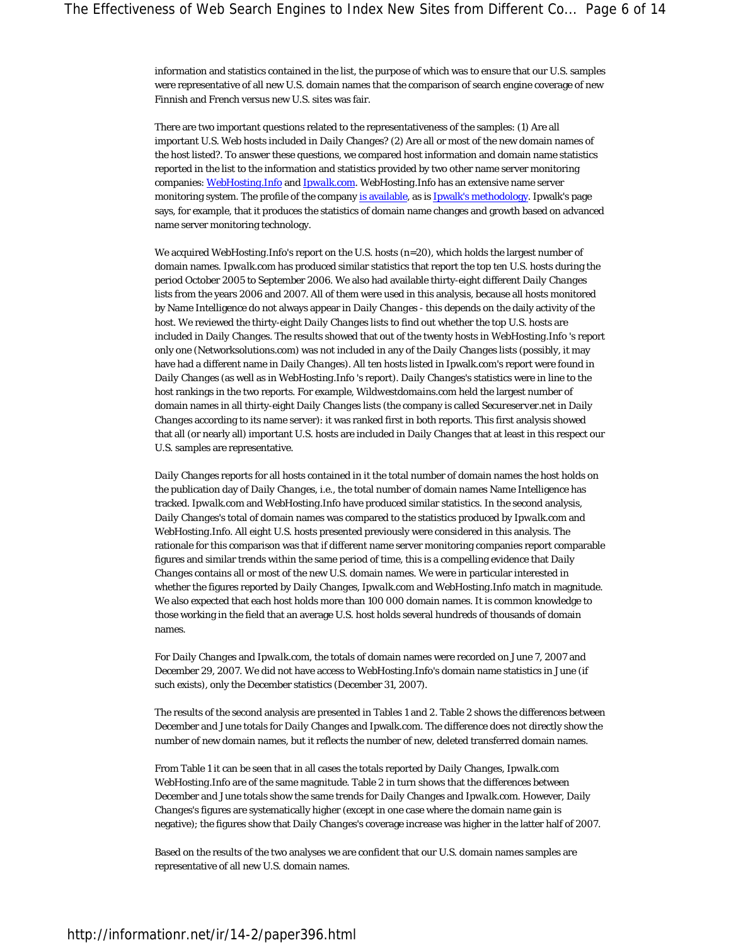information and statistics contained in the list, the purpose of which was to ensure that our U.S. samples were representative of all new U.S. domain names that the comparison of search engine coverage of new Finnish and French versus new U.S. sites was fair.

There are two important questions related to the representativeness of the samples: (1) Are all important U.S. Web hosts included in *Daily Changes*? (2) Are all or most of the new domain names of the host listed?. To answer these questions, we compared host information and domain name statistics reported in the list to the information and statistics provided by two other name server monitoring companies: *WebHosting.Info* and *Ipwalk.com*. *WebHosting.Info* has an extensive name server monitoring system. The profile of the company is available, as is Ipwalk's methodology. Ipwalk's page says, for example, that it produces the statistics of domain name changes and growth based on advanced name server monitoring technology.

We acquired *WebHosting.Info*'s report on the U.S. hosts (n=20), which holds the largest number of domain names. *Ipwalk.com* has produced similar statistics that report the top ten U.S. hosts during the period October 2005 to September 2006. We also had available thirty-eight different *Daily Changes* lists from the years 2006 and 2007. All of them were used in this analysis, because all hosts monitored by Name Intelligence do not always appear in *Daily Changes* - this depends on the daily activity of the host. We reviewed the thirty-eight *Daily Changes* lists to find out whether the top U.S. hosts are included in *Daily Changes*. The results showed that out of the twenty hosts in *WebHosting.Info* 's report only one (Networksolutions.com) was not included in any of the *Daily Changes* lists (possibly, it may have had a different name in *Daily Changes*). All ten hosts listed in Ipwalk.com's report were found in *Daily Changes* (as well as in *WebHosting.Info* 's report). *Daily Changes*'s statistics were in line to the host rankings in the two reports. For example, *Wildwestdomains.com* held the largest number of domain names in all thirty-eight *Daily Changes* lists (the company is called *Secureserver.net* in *Daily Changes* according to its name server): it was ranked first in both reports. This first analysis showed that all (or nearly all) important U.S. hosts are included in *Daily Changes* that at least in this respect our U.S. samples are representative.

*Daily Changes* reports for all hosts contained in it the total number of domain names the host holds on the publication day of *Daily Changes*, i.e., the total number of domain names Name Intelligence has tracked. *Ipwalk.com* and *WebHosting.Info* have produced similar statistics. In the second analysis, *Daily Changes*'s total of domain names was compared to the statistics produced by *Ipwalk.com* and *WebHosting.Info*. All eight U.S. hosts presented previously were considered in this analysis. The rationale for this comparison was that if different name server monitoring companies report comparable figures and similar trends within the same period of time, this is a compelling evidence that *Daily Changes* contains all or most of the new U.S. domain names. We were in particular interested in whether the figures reported by *Daily Changes*, *Ipwalk.com* and *WebHosting.Info* match in magnitude. We also expected that each host holds more than 100 000 domain names. It is common knowledge to those working in the field that an average U.S. host holds several hundreds of thousands of domain names.

For *Daily Changes* and *Ipwalk.com*, the totals of domain names were recorded on June 7, 2007 and December 29, 2007. We did not have access to *WebHosting.Info*'s domain name statistics in June (if such exists), only the December statistics (December 31, 2007).

The results of the second analysis are presented in Tables 1 and 2. Table 2 shows the differences between December and June totals for *Daily Changes* and Ipwalk.com. The difference does not directly show the number of new domain names, but it reflects the number of new, deleted transferred domain names.

From Table 1 it can be seen that in all cases the totals reported by *Daily Changes*, *Ipwalk.com WebHosting.Info* are of the same magnitude. Table 2 in turn shows that the differences between December and June totals show the same trends for *Daily Changes* and *Ipwalk.com*. However, *Daily Changes*'s figures are systematically higher (except in one case where the domain name gain is negative); the figures show that *Daily Changes*'s coverage increase was higher in the latter half of 2007.

Based on the results of the two analyses we are confident that our U.S. domain names samples are representative of all new U.S. domain names.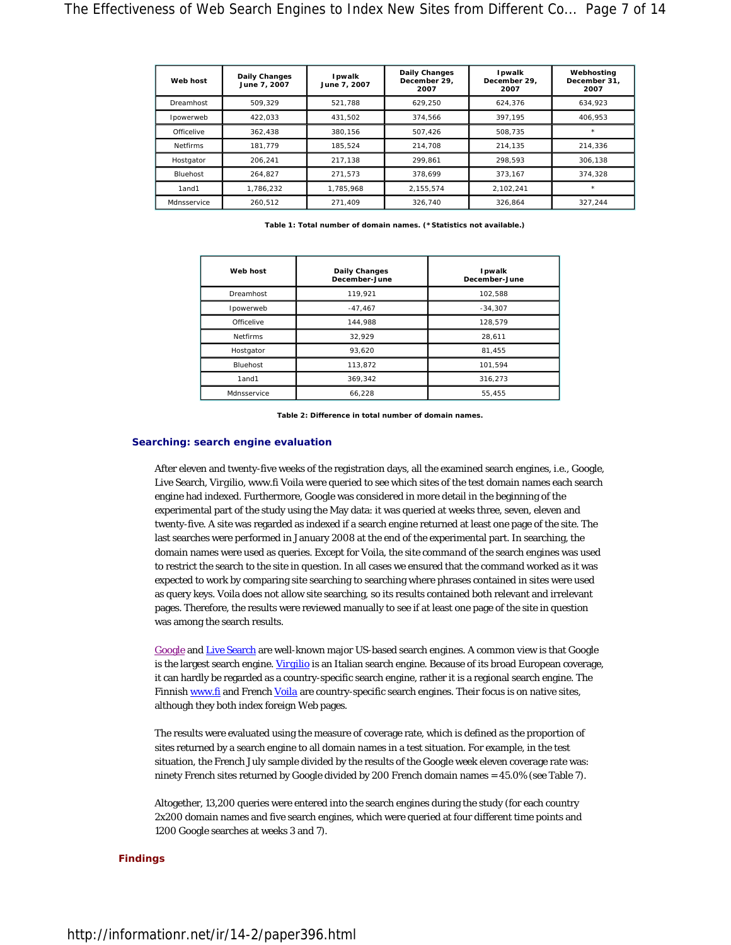| Web host        | <b>Daily Changes</b><br>June 7, 2007 | Ipwalk<br>June 7, 2007 | <b>Daily Changes</b><br>December 29.<br>2007 | <b>I</b> pwalk<br>December 29,<br>2007 | Webhosting<br>December 31.<br>2007 |
|-----------------|--------------------------------------|------------------------|----------------------------------------------|----------------------------------------|------------------------------------|
| Dreamhost       | 509.329                              | 521.788                | 629.250                                      | 624.376                                | 634.923                            |
| Ipowerweb       | 422,033                              | 431.502                | 374.566                                      | 397.195                                | 406.953                            |
| Officelive      | 362.438                              | 380.156                | 507.426                                      | 508.735                                | $^{\star}$                         |
| <b>Netfirms</b> | 181.779                              | 185.524                | 214.708                                      | 214,135                                | 214.336                            |
| Hostgator       | 206.241                              | 217.138                | 299.861                                      | 298.593                                | 306.138                            |
| Bluehost        | 264.827                              | 271.573                | 378.699                                      | 373.167                                | 374.328                            |
| 1and1           | 1.786.232                            | 1,785,968              | 2,155,574                                    | 2.102.241                              | $\star$                            |
| Mdnsservice     | 260.512                              | 271.409                | 326.740                                      | 326.864                                | 327.244                            |

**Table 1: Total number of domain names. (\*Statistics not available.)**

| Web host        | <b>Daily Changes</b><br>December-June | Ipwalk<br>December-June |
|-----------------|---------------------------------------|-------------------------|
| Dreamhost       | 119.921                               | 102.588                 |
| Ipowerweb       | $-47,467$                             | $-34,307$               |
| Officelive      | 144.988                               | 128,579                 |
| <b>Netfirms</b> | 32.929                                | 28,611                  |
| Hostgator       | 93.620                                | 81,455                  |
| <b>Bluehost</b> | 113.872                               | 101.594                 |
| 1and1           | 369,342                               | 316,273                 |
| Mdnsservice     | 66,228                                | 55,455                  |

**Table 2: Difference in total number of domain names.**

#### **Searching: search engine evaluation**

After eleven and twenty-five weeks of the registration days, all the examined search engines, i.e., Google, Live Search, *Virgilio*, www.fi Voila were queried to see which sites of the test domain names each search engine had indexed. Furthermore, Google was considered in more detail in the beginning of the experimental part of the study using the May data: it was queried at weeks three, seven, eleven and twenty-five. A site was regarded as *indexed* if a search engine returned at least one page of the site. The last searches were performed in January 2008 at the end of the experimental part. In searching, the domain names were used as queries. Except for Voila, the *site command* of the search engines was used to restrict the search to the site in question. In all cases we ensured that the command worked as it was expected to work by comparing site searching to searching where phrases contained in sites were used as query keys. Voila does not allow site searching, so its results contained both relevant and irrelevant pages. Therefore, the results were reviewed manually to see if at least one page of the site in question was among the search results.

Google and Live Search are well-known major US-based search engines. A common view is that Google is the largest search engine. *Virgilio* is an Italian search engine. Because of its broad European coverage, it can hardly be regarded as a country-specific search engine, rather it is a regional search engine. The Finnish www.fi and French *Voila* are country-specific search engines. Their focus is on native sites, although they both index foreign Web pages.

The results were evaluated using the measure of coverage rate, which is defined as the proportion of sites returned by a search engine to all domain names in a test situation. For example, in the test situation, the French July sample divided by the results of the Google week eleven coverage rate was: ninety French sites returned by Google divided by 200 French domain names = 45.0% (see Table 7).

Altogether, 13,200 queries were entered into the search engines during the study (for each country 2x200 domain names and five search engines, which were queried at four different time points and 1200 Google searches at weeks 3 and 7).

#### **Findings**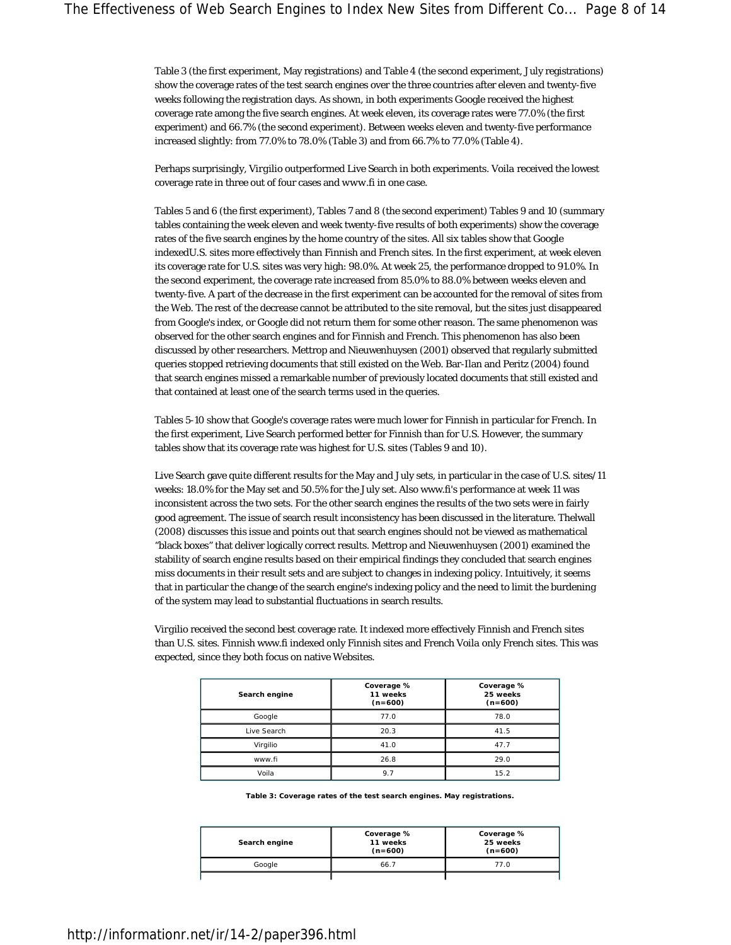Table 3 (the first experiment, May registrations) and Table 4 (the second experiment, July registrations) show the coverage rates of the test search engines over the three countries after eleven and twenty-five weeks following the registration days. As shown, in both experiments Google received the highest coverage rate among the five search engines. At week eleven, its coverage rates were 77.0% (the first experiment) and 66.7% (the second experiment). Between weeks eleven and twenty-five performance increased slightly: from 77.0% to 78.0% (Table 3) and from 66.7% to 77.0% (Table 4).

Perhaps surprisingly, *Virgilio* outperformed Live Search in both experiments. *Voila* received the lowest coverage rate in three out of four cases and *www.fi* in one case.

Tables 5 and 6 (the first experiment), Tables 7 and 8 (the second experiment) Tables 9 and 10 (summary tables containing the week eleven and week twenty-five results of both experiments) show the coverage rates of the five search engines by the home country of the sites. All six tables show that Google indexedU.S. sites more effectively than Finnish and French sites. In the first experiment, at week eleven its coverage rate for U.S. sites was very high: 98.0%. At week 25, the performance dropped to 91.0%. In the second experiment, the coverage rate increased from 85.0% to 88.0% between weeks eleven and twenty-five. A part of the decrease in the first experiment can be accounted for the removal of sites from the Web. The rest of the decrease cannot be attributed to the site removal, but the sites just disappeared from Google's index, or Google did not return them for some other reason. The same phenomenon was observed for the other search engines and for Finnish and French. This phenomenon has also been discussed by other researchers. Mettrop and Nieuwenhuysen (2001) observed that regularly submitted queries stopped retrieving documents that still existed on the Web. Bar-Ilan and Peritz (2004) found that search engines missed a remarkable number of previously located documents that still existed and that contained at least one of the search terms used in the queries.

Tables 5-10 show that Google's coverage rates were much lower for Finnish in particular for French. In the first experiment, Live Search performed better for Finnish than for U.S. However, the summary tables show that its coverage rate was highest for U.S. sites (Tables 9 and 10).

Live Search gave quite different results for the May and July sets, in particular in the case of U.S. sites/11 weeks: 18.0% for the May set and 50.5% for the July set. Also www.fi's performance at week 11 was inconsistent across the two sets. For the other search engines the results of the two sets were in fairly good agreement. The issue of search result inconsistency has been discussed in the literature. Thelwall (2008) discusses this issue and points out that search engines should not be viewed as mathematical "black boxes" that deliver logically correct results. Mettrop and Nieuwenhuysen (2001) examined the stability of search engine results based on their empirical findings they concluded that search engines miss documents in their result sets and are subject to changes in indexing policy. Intuitively, it seems that in particular the change of the search engine's indexing policy and the need to limit the burdening of the system may lead to substantial fluctuations in search results.

*Virgilio* received the second best coverage rate. It indexed more effectively Finnish and French sites than U.S. sites. Finnish www.fi indexed only Finnish sites and French *Voila* only French sites. This was expected, since they both focus on native Websites.

| Search engine | Coverage %<br>11 weeks<br>$(n=600)$ | Coverage %<br>25 weeks<br>$(n=600)$ |
|---------------|-------------------------------------|-------------------------------------|
| Google        | 77.0                                | 78.0                                |
| Live Search   | 20.3                                | 41.5                                |
| Virgilio      | 41.0                                | 47.7                                |
| www.fi        | 26.8                                | 29.0                                |
| Voila         | 9.7                                 | 15.2                                |

**Table 3: Coverage rates of the test search engines. May registrations.**

| Search engine | Coverage %<br>11 weeks<br>$(n=600)$ | Coverage %<br>25 weeks<br>$(n=600)$ |
|---------------|-------------------------------------|-------------------------------------|
| Google        | 66.7                                | 77 N                                |
|               |                                     |                                     |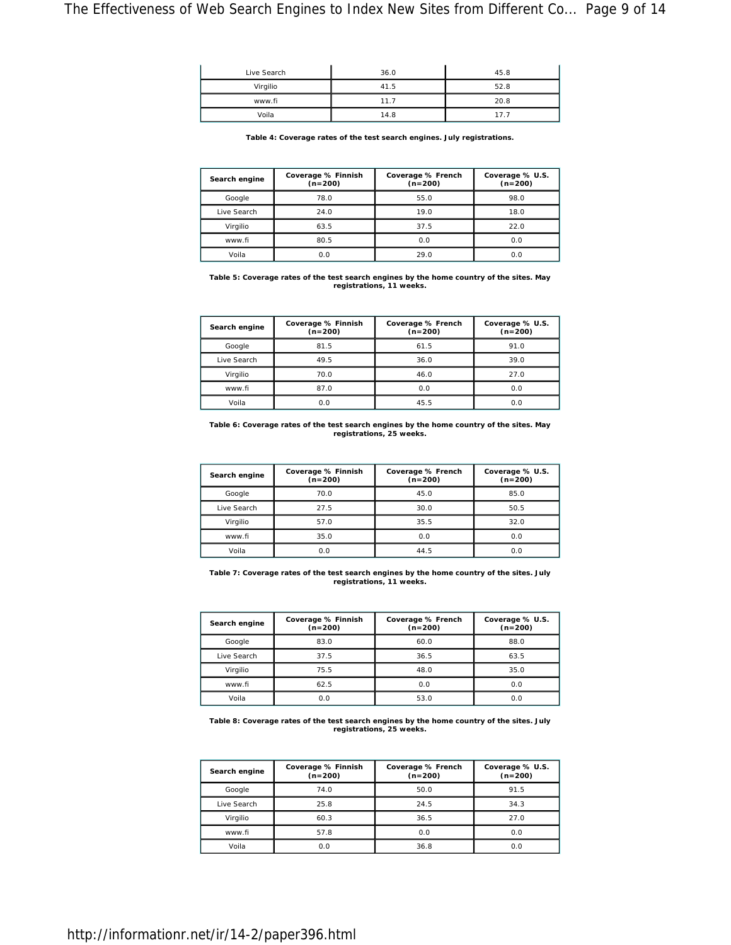| Live Search |          | 36.0 | 45.8 |
|-------------|----------|------|------|
|             | Virgilio | 41.5 | 52.8 |
|             | www.fi   | 11.7 | 20.8 |
|             | Voila    | 14.8 |      |

**Table 4: Coverage rates of the test search engines. July registrations.**

| Search engine | Coverage % Finnish<br>$(n=200)$ | Coverage % French<br>$(n=200)$ | Coverage % U.S.<br>$(n=200)$ |
|---------------|---------------------------------|--------------------------------|------------------------------|
| Google        | 78.0                            | 55.0                           | 98.0                         |
| Live Search   | 24.0                            | 19.0                           | 18.0                         |
| Virgilio      | 63.5                            | 37.5                           | 22.0                         |
| www.fi        | 80.5                            | 0.0                            | 0.0                          |
| Voila         | 0.0                             | 29.0                           | 0.0                          |

**Table 5: Coverage rates of the test search engines by the home country of the sites. May registrations, 11 weeks.**

| Search engine | Coverage % Finnish<br>$(n=200)$ | Coverage % French<br>$(n=200)$ | Coverage % U.S.<br>$(n=200)$ |
|---------------|---------------------------------|--------------------------------|------------------------------|
| Google        | 81.5                            | 61.5                           | 91.0                         |
| Live Search   | 49.5                            | 36.0                           | 39.0                         |
| Virgilio      | 70.0                            | 46.0                           | 27.0                         |
| www.fi        | 87.0                            | 0.0                            | 0.0                          |
| Voila         | 0.0                             | 45.5                           | 0.0                          |

**Table 6: Coverage rates of the test search engines by the home country of the sites. May registrations, 25 weeks.**

| Search engine | Coverage % Finnish<br>$(n=200)$ | Coverage % French<br>$(n=200)$ | Coverage % U.S.<br>$(n=200)$ |
|---------------|---------------------------------|--------------------------------|------------------------------|
| Google        | 70.0                            | 45.0                           | 85.0                         |
| Live Search   | 27.5                            | 30.0                           | 50.5                         |
| Virgilio      | 57.0                            | 35.5                           | 32.0                         |
| www.fi        | 35.0                            | 0.0                            | 0.0                          |
| Voila         | 0.0                             | 44.5                           | 0.0                          |

**Table 7: Coverage rates of the test search engines by the home country of the sites. July registrations, 11 weeks.**

| Search engine | Coverage % Finnish<br>$(n=200)$ | Coverage % French<br>$(n=200)$ | Coverage % U.S.<br>$(n=200)$ |
|---------------|---------------------------------|--------------------------------|------------------------------|
| Google        | 83.0                            | 60.0                           | 88.0                         |
| Live Search   | 37.5                            | 36.5                           | 63.5                         |
| Virgilio      | 75.5                            | 48.0                           | 35.0                         |
| www.fi        | 62.5                            | 0.0                            | 0.0                          |
| Voila         | 0.0                             | 53.0                           | 0.0                          |

**Table 8: Coverage rates of the test search engines by the home country of the sites. July registrations, 25 weeks.**

| Search engine | Coverage % Finnish<br>$(n=200)$ | Coverage % French<br>$(n=200)$ | Coverage % U.S.<br>$(n=200)$ |  |
|---------------|---------------------------------|--------------------------------|------------------------------|--|
| Google        | 74.0                            | 50.0                           | 91.5                         |  |
| Live Search   | 25.8                            | 24.5                           | 34.3                         |  |
| Virailio      | 60.3                            | 36.5                           | 27.0                         |  |
| www.fi        | 57.8                            | 0.0                            | 0.0                          |  |
| Voila         | 0.0                             | 36.8                           | 0.0                          |  |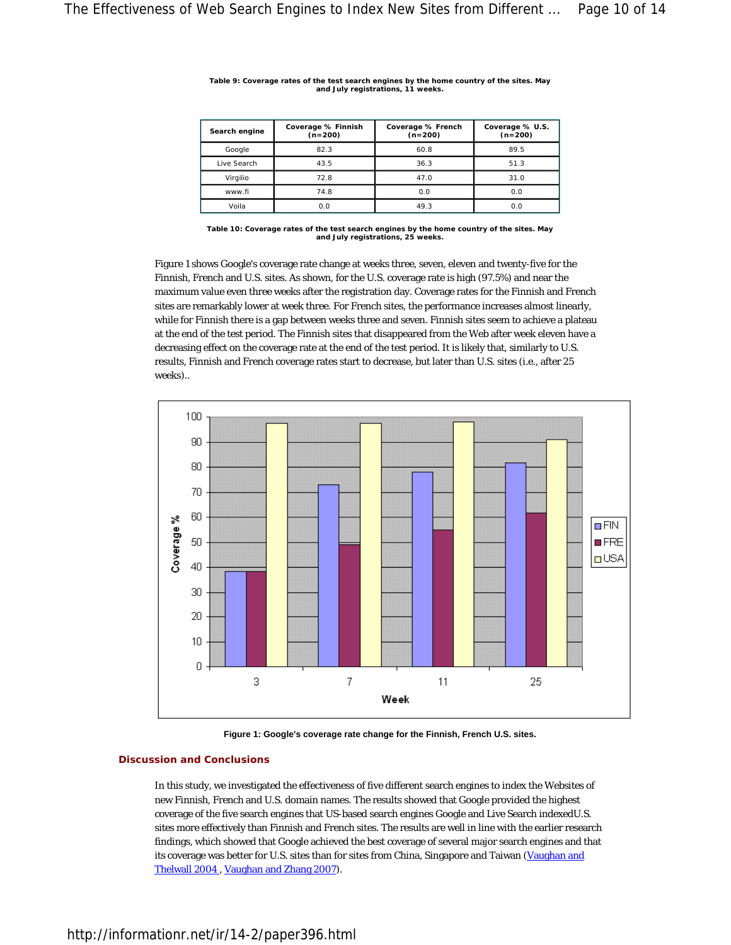| Search engine | Coverage % Finnish<br>$(n=200)$ | Coverage % French<br>$(n=200)$ | Coverage % U.S.<br>$(n=200)$ |
|---------------|---------------------------------|--------------------------------|------------------------------|
| Google        | 82.3                            | 60.8                           | 89.5                         |
| Live Search   | 43.5                            | 36.3                           | 51.3                         |
| Virgilio      | 72.8                            | 47.0                           | 31.0                         |
| www.fi        | 74.8                            | 0.0                            | 0.0                          |
| Voila         | 0.0                             | 49.3                           | 0.0                          |

**Table 9: Coverage rates of the test search engines by the home country of the sites. May and July registrations, 11 weeks.**

Figure 1 shows Google's coverage rate change at weeks three, seven, eleven and twenty-five for the Finnish, French and U.S. sites. As shown, for the U.S. coverage rate is high (97.5%) and near the maximum value even three weeks after the registration day. Coverage rates for the Finnish and French sites are remarkably lower at week three. For French sites, the performance increases almost linearly, while for Finnish there is a gap between weeks three and seven. Finnish sites seem to achieve a plateau at the end of the test period. The Finnish sites that disappeared from the Web after week eleven have a decreasing effect on the coverage rate at the end of the test period. It is likely that, similarly to U.S. results, Finnish and French coverage rates start to decrease, but later than U.S. sites (i.e., after 25 weeks)..



**Figure 1: Google's coverage rate change for the Finnish, French U.S. sites.** 

# **Discussion and Conclusions**

In this study, we investigated the effectiveness of five different search engines to index the Websites of new Finnish, French and U.S. domain names. The results showed that Google provided the highest coverage of the five search engines that US-based search engines Google and Live Search indexedU.S. sites more effectively than Finnish and French sites. The results are well in line with the earlier research findings, which showed that Google achieved the best coverage of several major search engines and that its coverage was better for U.S. sites than for sites from China, Singapore and Taiwan (Vaughan and Thelwall 2004 , Vaughan and Zhang 2007).

**Table 10: Coverage rates of the test search engines by the home country of the sites. May and July registrations, 25 weeks.**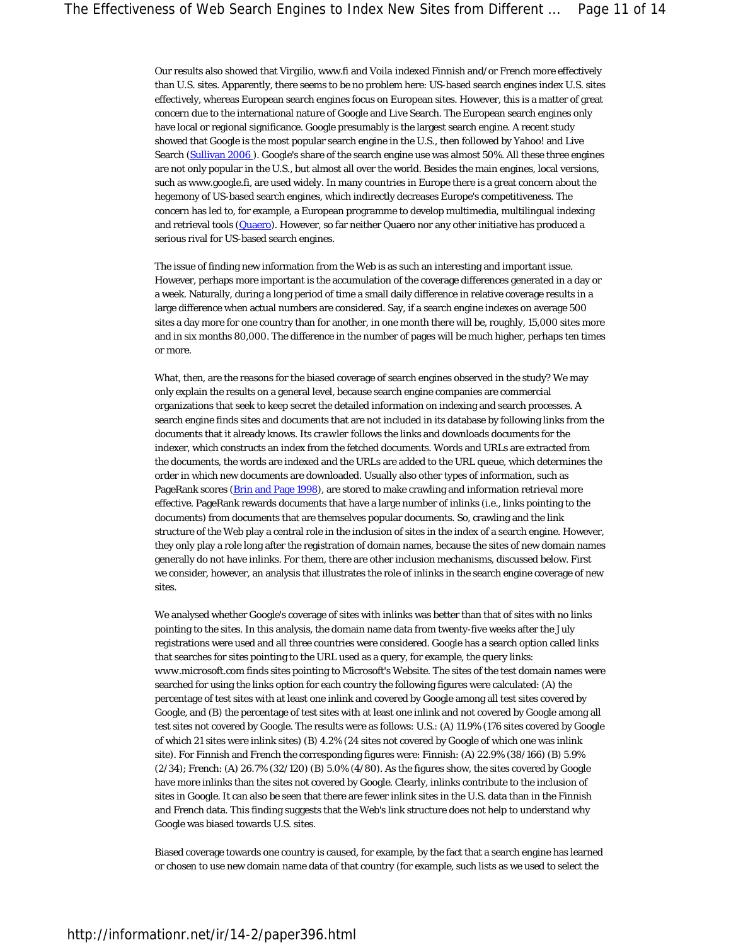Our results also showed that *Virgilio*, www.fi and *Voila* indexed Finnish and/or French more effectively than U.S. sites. Apparently, there seems to be no problem here: US-based search engines index U.S. sites effectively, whereas European search engines focus on European sites. However, this is a matter of great concern due to the international nature of Google and Live Search. The European search engines only have local or regional significance. Google presumably is the largest search engine. A recent study showed that Google is the most popular search engine in the U.S., then followed by Yahoo! and Live Search (Sullivan 2006). Google's share of the search engine use was almost 50%. All these three engines are not only popular in the U.S., but almost all over the world. Besides the main engines, local versions, such as www.google.fi, are used widely. In many countries in Europe there is a great concern about the hegemony of US-based search engines, which indirectly decreases Europe's competitiveness. The concern has led to, for example, a European programme to develop multimedia, multilingual indexing and retrieval tools (Quaero). However, so far neither Quaero nor any other initiative has produced a serious rival for US-based search engines.

The issue of finding new information from the Web is as such an interesting and important issue. However, perhaps more important is the accumulation of the coverage differences generated in a day or a week. Naturally, during a long period of time a small daily difference in relative coverage results in a large difference when actual numbers are considered. Say, if a search engine indexes on average 500 sites a day more for one country than for another, in one month there will be, roughly, 15,000 sites more and in six months 80,000. The difference in the number of pages will be much higher, perhaps ten times or more.

What, then, are the reasons for the biased coverage of search engines observed in the study? We may only explain the results on a general level, because search engine companies are commercial organizations that seek to keep secret the detailed information on indexing and search processes. A search engine finds sites and documents that are not included in its database by following links from the documents that it already knows. Its *crawler* follows the links and downloads documents for the indexer, which constructs an index from the fetched documents. Words and URLs are extracted from the documents, the words are indexed and the URLs are added to the URL queue, which determines the order in which new documents are downloaded. Usually also other types of information, such as PageRank scores (Brin and Page 1998), are stored to make crawling and information retrieval more effective. PageRank rewards documents that have a large number of *inlinks* (i.e., links pointing to the documents) from documents that are themselves popular documents. So, crawling and the link structure of the Web play a central role in the inclusion of sites in the index of a search engine. However, they only play a role long after the registration of domain names, because the sites of new domain names generally do not have inlinks. For them, there are other inclusion mechanisms, discussed below. First we consider, however, an analysis that illustrates the role of inlinks in the search engine coverage of new sites.

We analysed whether Google's coverage of sites with inlinks was better than that of sites with no links pointing to the sites. In this analysis, the domain name data from twenty-five weeks after the July registrations were used and all three countries were considered. Google has a search option called *links* that searches for sites pointing to the URL used as a query, for example, the query *links: www.microsoft.com* finds sites pointing to Microsoft's Website. The sites of the test domain names were searched for using the links option for each country the following figures were calculated: (A) the percentage of test sites with at least one inlink and covered by Google among all test sites covered by Google, and (B) the percentage of test sites with at least one inlink and not covered by Google among all test sites not covered by Google. The results were as follows: U.S.: (A) 11.9% (176 sites covered by Google of which 21 sites were inlink sites) (B) 4.2% (24 sites not covered by Google of which one was inlink site). For Finnish and French the corresponding figures were: Finnish: (A) 22.9% (38/166) (B) 5.9% (2/34); French: (A) 26.7% (32/120) (B) 5.0% (4/80). As the figures show, the sites covered by Google have more inlinks than the sites not covered by Google. Clearly, inlinks contribute to the inclusion of sites in Google. It can also be seen that there are fewer inlink sites in the U.S. data than in the Finnish and French data. This finding suggests that the Web's link structure does not help to understand why Google was biased towards U.S. sites.

Biased coverage towards one country is caused, for example, by the fact that a search engine has learned or chosen to use new domain name data of that country (for example, such lists as we used to select the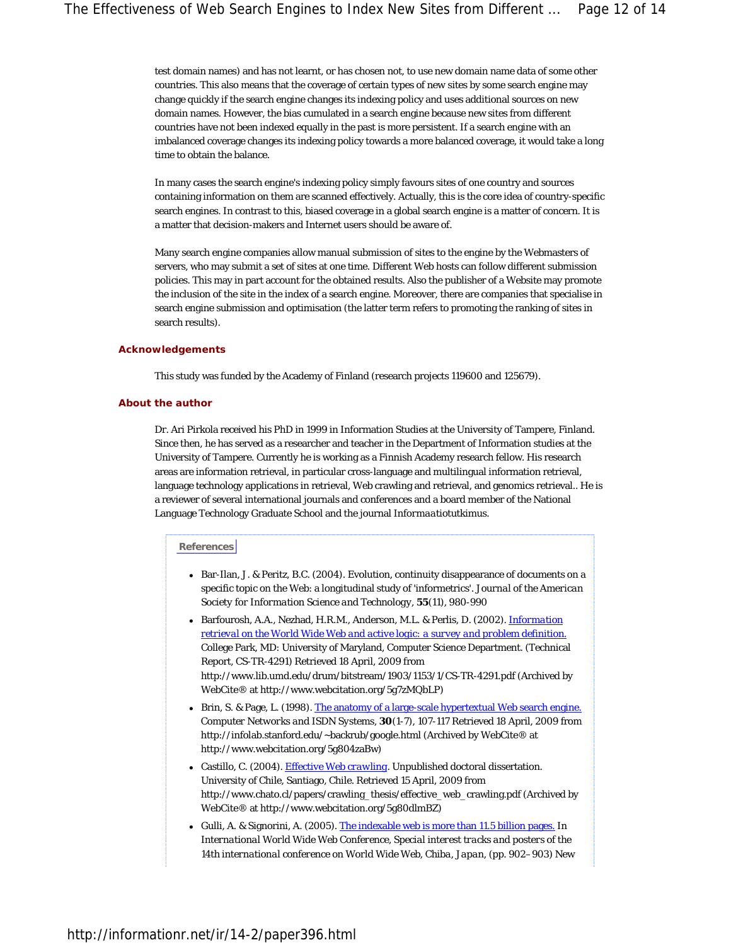test domain names) and has not learnt, or has chosen not, to use new domain name data of some other countries. This also means that the coverage of certain types of *new* sites by some search engine may change quickly if the search engine changes its indexing policy and uses additional sources on new domain names. However, the bias cumulated in a search engine because new sites from different countries have not been indexed equally in the past is more persistent. If a search engine with an imbalanced coverage changes its indexing policy towards a more balanced coverage, it would take a long time to obtain the balance.

In many cases the search engine's indexing policy simply favours sites of one country and sources containing information on them are scanned effectively. Actually, this is the core idea of country-specific search engines. In contrast to this, biased coverage in a global search engine is a matter of concern. It is a matter that decision-makers and Internet users should be aware of.

Many search engine companies allow manual submission of sites to the engine by the Webmasters of servers, who may submit a set of sites at one time. Different Web hosts can follow different submission policies. This may in part account for the obtained results. Also the publisher of a Website may promote the inclusion of the site in the index of a search engine. Moreover, there are companies that specialise in search engine submission and optimisation (the latter term refers to promoting the ranking of sites in search results).

#### **Acknowledgements**

This study was funded by the Academy of Finland (research projects 119600 and 125679).

#### **About the author**

Dr. Ari Pirkola received his PhD in 1999 in Information Studies at the University of Tampere, Finland. Since then, he has served as a researcher and teacher in the Department of Information studies at the University of Tampere. Currently he is working as a Finnish Academy research fellow. His research areas are information retrieval, in particular cross-language and multilingual information retrieval, language technology applications in retrieval, Web crawling and retrieval, and genomics retrieval.. He is a reviewer of several international journals and conferences and a board member of the National Language Technology Graduate School and the journal *Informaatiotutkimus*.

#### **References**

- Bar-Ilan, J. & Peritz, B.C. (2004). Evolution, continuity disappearance of documents on a specific topic on the Web: a longitudinal study of 'informetrics'. *Journal of the American Society for Information Science and Technology*, **55**(11), 980-990
- Barfourosh, A.A., Nezhad, H.R.M., Anderson, M.L. & Perlis, D. (2002). *Information retrieval on the World Wide Web and active logic: a survey and problem definition.*  College Park, MD: University of Maryland, Computer Science Department. (Technical Report, CS-TR-4291) Retrieved 18 April, 2009 from http://www.lib.umd.edu/drum/bitstream/1903/1153/1/CS-TR-4291.pdf (Archived by WebCite® at http://www.webcitation.org/5g7zMQbLP)
- Brin, S. & Page, L. (1998). The anatomy of a large-scale hypertextual Web search engine. *Computer Networks and ISDN Systems*, **30**(1-7), 107-117 Retrieved 18 April, 2009 from http://infolab.stanford.edu/~backrub/google.html (Archived by WebCite® at http://www.webcitation.org/5g804zaBw)
- Castillo, C. (2004). *Effective Web crawling*. Unpublished doctoral dissertation. University of Chile, Santiago, Chile. Retrieved 15 April, 2009 from http://www.chato.cl/papers/crawling\_thesis/effective\_web\_crawling.pdf (Archived by WebCite® at http://www.webcitation.org/5g80dlmBZ)
- Gulli, A. & Signorini, A. (2005). The indexable web is more than 11.5 billion pages. In *International World Wide Web Conference, Special interest tracks and posters of the 14th international conference on World Wide Web, Chiba, Japan*, (pp. 902–903) New